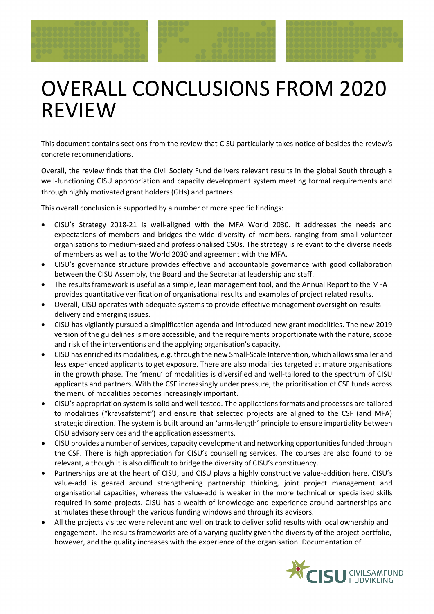## OVERALL CONCLUSIONS FROM 2020 REVIEW

This document contains sections from the review that CISU particularly takes notice of besides the review's concrete recommendations.

Overall, the review finds that the Civil Society Fund delivers relevant results in the global South through a well-functioning CISU appropriation and capacity development system meeting formal requirements and through highly motivated grant holders (GHs) and partners.

This overall conclusion is supported by a number of more specific findings:

- CISU's Strategy 2018-21 is well-aligned with the MFA World 2030. It addresses the needs and expectations of members and bridges the wide diversity of members, ranging from small volunteer organisations to medium-sized and professionalised CSOs. The strategy is relevant to the diverse needs of members as well as to the World 2030 and agreement with the MFA.
- CISU's governance structure provides effective and accountable governance with good collaboration between the CISU Assembly, the Board and the Secretariat leadership and staff.
- The results framework is useful as a simple, lean management tool, and the Annual Report to the MFA provides quantitative verification of organisational results and examples of project related results.
- Overall, CISU operates with adequate systems to provide effective management oversight on results delivery and emerging issues.
- CISU has vigilantly pursued a simplification agenda and introduced new grant modalities. The new 2019 version of the guidelines is more accessible, and the requirements proportionate with the nature, scope and risk of the interventions and the applying organisation's capacity.
- CISU has enriched its modalities, e.g. through the new Small-Scale Intervention, which allows smaller and less experienced applicants to get exposure. There are also modalities targeted at mature organisations in the growth phase. The 'menu' of modalities is diversified and well-tailored to the spectrum of CISU applicants and partners. With the CSF increasingly under pressure, the prioritisation of CSF funds across the menu of modalities becomes increasingly important.
- CISU's appropriation system is solid and well tested. The applications formats and processes are tailored to modalities ("kravsafstemt") and ensure that selected projects are aligned to the CSF (and MFA) strategic direction. The system is built around an 'arms-length' principle to ensure impartiality between CISU advisory services and the application assessments.
- CISU provides a number of services, capacity development and networking opportunities funded through the CSF. There is high appreciation for CISU's counselling services. The courses are also found to be relevant, although it is also difficult to bridge the diversity of CISU's constituency.
- Partnerships are at the heart of CISU, and CISU plays a highly constructive value-addition here. CISU's value-add is geared around strengthening partnership thinking, joint project management and organisational capacities, whereas the value-add is weaker in the more technical or specialised skills required in some projects. CISU has a wealth of knowledge and experience around partnerships and stimulates these through the various funding windows and through its advisors.
- All the projects visited were relevant and well on track to deliver solid results with local ownership and engagement. The results frameworks are of a varying quality given the diversity of the project portfolio, however, and the quality increases with the experience of the organisation. Documentation of